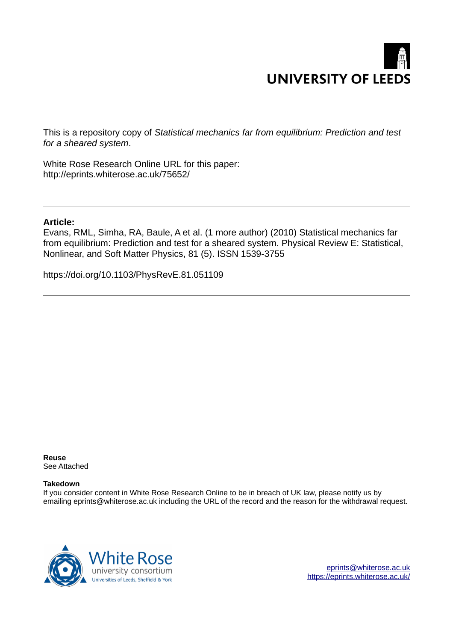

This is a repository copy of *Statistical mechanics far from equilibrium: Prediction and test for a sheared system*.

White Rose Research Online URL for this paper: http://eprints.whiterose.ac.uk/75652/

## **Article:**

Evans, RML, Simha, RA, Baule, A et al. (1 more author) (2010) Statistical mechanics far from equilibrium: Prediction and test for a sheared system. Physical Review E: Statistical, Nonlinear, and Soft Matter Physics, 81 (5). ISSN 1539-3755

https://doi.org/10.1103/PhysRevE.81.051109

**Reuse**  See Attached

## **Takedown**

If you consider content in White Rose Research Online to be in breach of UK law, please notify us by emailing eprints@whiterose.ac.uk including the URL of the record and the reason for the withdrawal request.



[eprints@whiterose.ac.uk](mailto:eprints@whiterose.ac.uk) <https://eprints.whiterose.ac.uk/>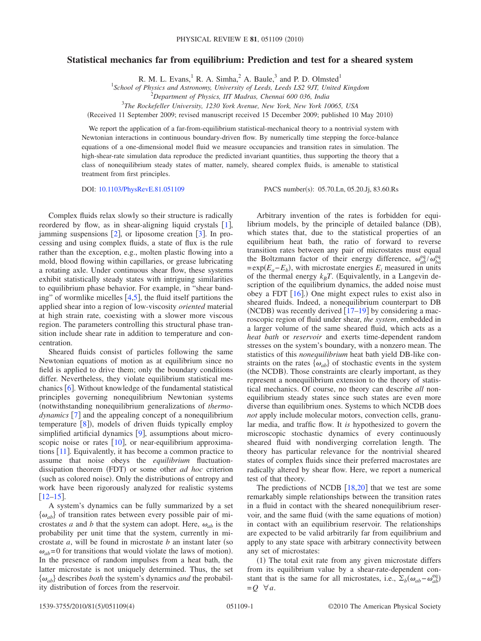## <span id="page-1-0"></span>**Statistical mechanics far from equilibrium: Prediction and test for a sheared system**

R. M. L. Evans,  $^1$  R. A. Simha,  $^2$  A. Baule,  $^3$  and P. D. Olmsted<sup>1</sup>

1 *School of Physics and Astronomy, University of Leeds, Leeds LS2 9JT, United Kingdom*

<sup>2</sup>*Department of Physics, IIT Madras, Chennai 600 036, India*

3 *The Rockefeller University, 1230 York Avenue, New York, New York 10065, USA*

(Received 11 September 2009; revised manuscript received 15 December 2009; published 10 May 2010)

We report the application of a far-from-equilibrium statistical-mechanical theory to a nontrivial system with Newtonian interactions in continuous boundary-driven flow. By numerically time stepping the force-balance equations of a one-dimensional model fluid we measure occupancies and transition rates in simulation. The high-shear-rate simulation data reproduce the predicted invariant quantities, thus supporting the theory that a class of nonequilibrium steady states of matter, namely, sheared complex fluids, is amenable to statistical treatment from first principles.

DOI: [10.1103/PhysRevE.81.051109](http://dx.doi.org/10.1103/PhysRevE.81.051109) PACS number(s): 05.70.Ln, 05.20.Jj, 83.60.Rs

Complex fluids relax slowly so their structure is radically reordered by flow, as in shear-aligning liquid crystals  $[1]$  $[1]$  $[1]$ , jamming suspensions  $[2]$  $[2]$  $[2]$ , or liposome creation  $[3]$  $[3]$  $[3]$ . In processing and using complex fluids, a state of flux is the rule rather than the exception, e.g., molten plastic flowing into a mold, blood flowing within capillaries, or grease lubricating a rotating axle. Under continuous shear flow, these systems exhibit statistically steady states with intriguing similarities to equilibrium phase behavior. For example, in "shear banding" of wormlike micelles  $[4,5]$  $[4,5]$  $[4,5]$  $[4,5]$ , the fluid itself partitions the applied shear into a region of low-viscosity *oriented* material at high strain rate, coexisting with a slower more viscous region. The parameters controlling this structural phase transition include shear rate in addition to temperature and concentration.

Sheared fluids consist of particles following the same Newtonian equations of motion as at equilibrium since no field is applied to drive them; only the boundary conditions differ. Nevertheless, they violate equilibrium statistical mechanics  $[6]$  $[6]$  $[6]$ . Without knowledge of the fundamental statistical principles governing nonequilibrium Newtonian systems !notwithstanding nonequilibrium generalizations of *thermodynamics* [[7](#page-3-7)] and the appealing concept of a nonequilibrium temperature  $[8]$  $[8]$  $[8]$ , models of driven fluids typically employ simplified artificial dynamics  $[9]$  $[9]$  $[9]$ , assumptions about microscopic noise or rates  $[10]$  $[10]$  $[10]$ , or near-equilibrium approximations  $[11]$  $[11]$  $[11]$ . Equivalently, it has become a common practice to assume that noise obeys the *equilibrium* fluctuationdissipation theorem (FDT) or some other *ad hoc* criterion (such as colored noise). Only the distributions of entropy and work have been rigorously analyzed for realistic systems  $\lfloor 12-15 \rfloor$  $\lfloor 12-15 \rfloor$  $\lfloor 12-15 \rfloor$ .

A system's dynamics can be fully summarized by a set  $\{\omega_{ab}\}$  of transition rates between every possible pair of microstates *a* and *b* that the system can adopt. Here,  $\omega_{ab}$  is the probability per unit time that the system, currently in microstate  $a$ , will be found in microstate  $b$  an instant later (so  $\omega_{ab}$ =0 for transitions that would violate the laws of motion). In the presence of random impulses from a heat bath, the latter microstate is not uniquely determined. Thus, the set  $\{\omega_{ab}\}\$  describes *both* the system's dynamics *and* the probability distribution of forces from the reservoir.

Arbitrary invention of the rates is forbidden for equilibrium models, by the principle of detailed balance  $(DB)$ , which states that, due to the statistical properties of an equilibrium heat bath, the ratio of forward to reverse transition rates between any pair of microstates must equal the Boltzmann factor of their energy difference,  $\omega_{ab}^{\text{eq}}/\omega_{ba}^{\text{eq}}$  $=$ exp $(E_a - E_b)$ , with microstate energies  $E_i$  measured in units of the thermal energy  $k_B T$ . (Equivalently, in a Langevin description of the equilibrium dynamics, the added noise must obey a FDT  $[16]$  $[16]$  $[16]$ .) One might expect rules to exist also in sheared fluids. Indeed, a nonequilibrium counterpart to DB (NCDB) was recently derived  $[17–19]$  $[17–19]$  $[17–19]$  $[17–19]$  by considering a macroscopic region of fluid under shear, *the system*, embedded in a larger volume of the same sheared fluid, which acts as a *heat bath* or *reservoir* and exerts time-dependent random stresses on the system's boundary, with a nonzero mean. The statistics of this *nonequilibrium* heat bath yield DB-like constraints on the rates  $\{\omega_{ab}\}$  of stochastic events in the system (the NCDB). Those constraints are clearly important, as they represent a nonequilibrium extension to the theory of statistical mechanics. Of course, no theory can describe *all* nonequilibrium steady states since such states are even more diverse than equilibrium ones. Systems to which NCDB does *not* apply include molecular motors, convection cells, granular media, and traffic flow. It *is* hypothesized to govern the microscopic stochastic dynamics of every continuously sheared fluid with nondiverging correlation length. The theory has particular relevance for the nontrivial sheared states of complex fluids since their preferred macrostates are radically altered by shear flow. Here, we report a numerical test of that theory.

The predictions of NCDB  $[18,20]$  $[18,20]$  $[18,20]$  $[18,20]$  that we test are some remarkably simple relationships between the transition rates in a fluid in contact with the sheared nonequilibrium reservoir, and the same fluid (with the same equations of motion) in contact with an equilibrium reservoir. The relationships are expected to be valid arbitrarily far from equilibrium and apply to any state space with arbitrary connectivity between any set of microstates:

(1) The total exit rate from any given microstate differs from its equilibrium value by a shear-rate-dependent constant that is the same for all microstates, i.e.,  $\Sigma_b(\omega_{ab} - \omega_{ab}^{\text{eq}})$  $=Q \quad \forall a.$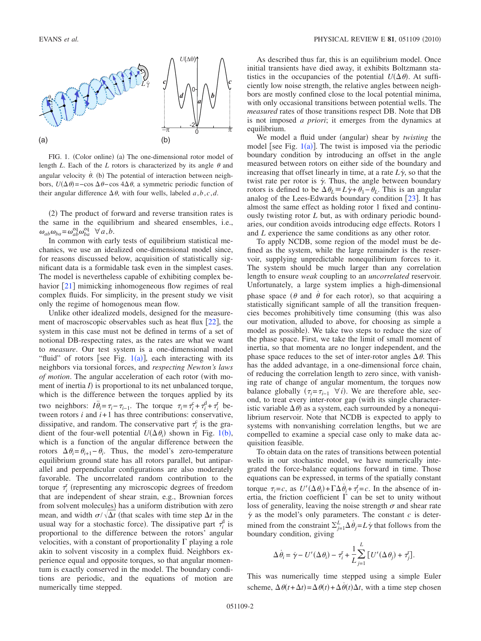

FIG. 1. (Color online) (a) The one-dimensional rotor model of length *L*. Each of the *L* rotors is characterized by its angle  $\theta$  and angular velocity  $\dot{\theta}$ . (b) The potential of interaction between neighbors,  $U(\Delta \theta) = -\cos \Delta \theta - \cos 4\Delta \theta$ , a symmetric periodic function of their angular difference  $\Delta \theta$ , with four wells, labeled *a*,*b*,*c*,*d*.

(2) The product of forward and reverse transition rates is the same in the equilibrium and sheared ensembles, i.e.,  $\omega_{ab}\omega_{ba} = \omega_{ab}^{\text{eq}}\omega_{ba}^{\text{eq}}$   $\forall a,b.$ 

In common with early tests of equilibrium statistical mechanics, we use an idealized one-dimensional model since, for reasons discussed below, acquisition of statistically significant data is a formidable task even in the simplest cases. The model is nevertheless capable of exhibiting complex behavior  $\lceil 21 \rceil$  $\lceil 21 \rceil$  $\lceil 21 \rceil$  mimicking inhomogeneous flow regimes of real complex fluids. For simplicity, in the present study we visit only the regime of homogenous mean flow.

Unlike other idealized models, designed for the measurement of macroscopic observables such as heat flux  $\lceil 22 \rceil$  $\lceil 22 \rceil$  $\lceil 22 \rceil$ , the system in this case must not be defined in terms of a set of notional DB-respecting rates, as the rates are what we want to *measure*. Our test system is a one-dimensional model "fluid" of rotors [see Fig.  $1(a)$  $1(a)$ ], each interacting with its neighbors via torsional forces, and *respecting Newton's laws of motion*. The angular acceleration of each rotor (with moment of inertia  $I$ ) is proportional to its net unbalanced torque, which is the difference between the torques applied by its two neighbors:  $I\ddot{\theta}_i = \tau_i - \tau_{i-1}$ . The torque  $\tau_i = \tau_i^c + \tau_i^d + \tau_i^r$  between rotors *i* and *i*+1 has three contributions: conservative, dissipative, and random. The conservative part  $\tau_i^c$  is the gradient of the four-well potential  $U(\Delta \theta_i)$  shown in Fig. [1](#page-1-0)(b), which is a function of the angular difference between the rotors  $\Delta \theta_i = \theta_{i+1} - \theta_i$ . Thus, the model's zero-temperature equilibrium ground state has all rotors parallel, but antiparallel and perpendicular configurations are also moderately favorable. The uncorrelated random contribution to the torque  $\tau_i^r$  (representing any microscopic degrees of freedom that are independent of shear strain, e.g., Brownian forces from solvent molecules) has a uniform distribution with zero mean, and width  $\sigma/\sqrt{\Delta t}$  (that scales with time step  $\Delta t$  in the usual way for a stochastic force). The dissipative part  $\tau_i^d$  is proportional to the difference between the rotors' angular velocities, with a constant of proportionality  $\Gamma$  playing a role akin to solvent viscosity in a complex fluid. Neighbors experience equal and opposite torques, so that angular momentum is exactly conserved in the model. The boundary conditions are periodic, and the equations of motion are numerically time stepped.

<span id="page-2-0"></span>As described thus far, this is an equilibrium model. Once initial transients have died away, it exhibits Boltzmann statistics in the occupancies of the potential  $U(\Delta \theta)$ . At sufficiently low noise strength, the relative angles between neighbors are mostly confined close to the local potential minima, with only occasional transitions between potential wells. The *measured* rates of those transitions respect DB. Note that DB is not imposed *a priori*; it emerges from the dynamics at equilibrium.

We model a fluid under (angular) shear by *twisting* the model [see Fig.  $1(a)$  $1(a)$ ]. The twist is imposed via the periodic boundary condition by introducing an offset in the angle measured between rotors on either side of the boundary and increasing that offset linearly in time, at a rate  $L\dot{\gamma}$ , so that the twist rate per rotor is  $\dot{\gamma}$ . Thus, the angle between boundary rotors is defined to be  $\Delta \theta_L = L \gamma + \theta_1 - \theta_L$ . This is an angular analog of the Lees-Edwards boundary condition  $[23]$  $[23]$  $[23]$ . It has almost the same effect as holding rotor 1 fixed and continuously twisting rotor *L* but, as with ordinary periodic boundaries, our condition avoids introducing edge effects. Rotors 1 and *L* experience the same conditions as any other rotor.

To apply NCDB, some region of the model must be defined as the system, while the large remainder is the reservoir, supplying unpredictable nonequilibrium forces to it. The system should be much larger than any correlation length to ensure *weak* coupling to an *uncorrelated* reservoir. Unfortunately, a large system implies a high-dimensional phase space ( $\theta$  and  $\dot{\theta}$  for each rotor), so that acquiring a statistically significant sample of all the transition frequencies becomes prohibitively time consuming (this was also our motivation, alluded to above, for choosing as simple a model as possible). We take two steps to reduce the size of the phase space. First, we take the limit of small moment of inertia, so that momenta are no longer independent, and the phase space reduces to the set of inter-rotor angles  $\Delta \theta$ . This has the added advantage, in a one-dimensional force chain, of reducing the correlation length to zero since, with vanishing rate of change of angular momentum, the torques now balance globally  $(\tau_i = \tau_{i-1} \ \forall i)$ . We are therefore able, second, to treat every inter-rotor gap (with its single characteristic variable  $\Delta \theta$ ) as a system, each surrounded by a nonequilibrium reservoir. Note that NCDB is expected to apply to systems with nonvanishing correlation lengths, but we are compelled to examine a special case only to make data acquisition feasible.

To obtain data on the rates of transitions between potential wells in our stochastic model, we have numerically integrated the force-balance equations forward in time. Those equations can be expressed, in terms of the spatially constant torque  $\tau_i = c$ , as  $U'(\Delta \theta_i) + \Gamma \Delta \dot{\theta}_i + \tau_i^{\text{r}} = c$ . In the absence of inertia, the friction coefficient  $\Gamma$  can be set to unity without loss of generality, leaving the noise strength  $\sigma$  and shear rate  $\dot{\gamma}$  as the model's only parameters. The constant *c* is determined from the constraint  $\Sigma_{j=1}^L \Delta \dot{\theta}_j = L \dot{\gamma}$  that follows from the boundary condition, giving

$$
\Delta \dot{\theta}_i = \dot{\gamma} - U'(\Delta \theta_i) - \tau_i^r + \frac{1}{L} \sum_{j=1}^{L} [U'(\Delta \theta_j) + \tau_j^r].
$$

This was numerically time stepped using a simple Euler scheme,  $\Delta \theta(t + \Delta t) = \Delta \theta(t) + \Delta \dot{\theta}(t) \Delta t$ , with a time step chosen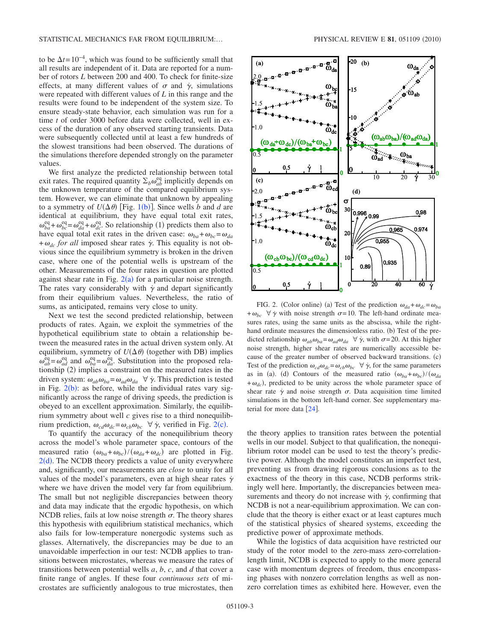to be  $\Delta t = 10^{-4}$ , which was found to be sufficiently small that all results are independent of it. Data are reported for a number of rotors *L* between 200 and 400. To check for finite-size effects, at many different values of  $\sigma$  and  $\dot{\gamma}$ , simulations were repeated with different values of *L* in this range and the results were found to be independent of the system size. To ensure steady-state behavior, each simulation was run for a time *t* of order 3000 before data were collected, well in excess of the duration of any observed starting transients. Data were subsequently collected until at least a few hundreds of the slowest transitions had been observed. The durations of the simulations therefore depended strongly on the parameter values.

We first analyze the predicted relationship between total exit rates. The required quantity  $\Sigma_b \omega_{ab}^{\text{eq}}$  implicitly depends on the unknown temperature of the compared equilibrium system. However, we can eliminate that unknown by appealing to a symmetry of  $U(\Delta \theta)$  [Fig. [1](#page-1-0)(b)]. Since wells *b* and *d* are identical at equilibrium, they have equal total exit rates,  $\omega_{ba}^{\text{eq}} + \omega_{bc}^{\text{eq}} = \omega_{da}^{\text{eq}} + \omega_{dc}^{\text{eq}}$ . So relationship (1) predicts them also to have equal total exit rates in the driven case:  $\omega_{ba} + \omega_{bc} = \omega_{da}$  $+\omega_{dc}$  *for all* imposed shear rates  $\dot{\gamma}$ . This equality is not obvious since the equilibrium symmetry is broken in the driven case, where one of the potential wells is upstream of the other. Measurements of the four rates in question are plotted against shear rate in Fig.  $2(a)$  $2(a)$  for a particular noise strength. The rates vary considerably with  $\dot{\gamma}$  and depart significantly from their equilibrium values. Nevertheless, the ratio of sums, as anticipated, remains very close to unity.

<span id="page-3-8"></span><span id="page-3-7"></span><span id="page-3-6"></span><span id="page-3-5"></span><span id="page-3-4"></span><span id="page-3-3"></span><span id="page-3-2"></span><span id="page-3-1"></span>Next we test the second predicted relationship, between products of rates. Again, we exploit the symmetries of the hypothetical equilibrium state to obtain a relationship between the measured rates in the actual driven system only. At equilibrium, symmetry of  $U(\Delta \theta)$  (together with DB) implies  $\omega_{ab}^{\text{eq}} = \omega_{ad}^{\text{eq}}$  and  $\omega_{ba}^{\text{eq}} = \omega_{da}^{\text{eq}}$ . Substitution into the proposed relationship  $(2)$  implies a constraint on the measured rates in the driven system:  $\omega_{ab}\omega_{ba} = \omega_{ad}\omega_{da} \quad \forall \dot{\gamma}$ . This prediction is tested in Fig.  $2(b)$  $2(b)$ : as before, while the individual rates vary significantly across the range of driving speeds, the prediction is obeyed to an excellent approximation. Similarly, the equilibrium symmetry about well *c* gives rise to a third nonequilibrium prediction,  $\omega_{cd}\omega_{dc} = \omega_{cb}\omega_{bc} \quad \forall \dot{\gamma}$ , verified in Fig. [2](#page-2-0)(c).

<span id="page-3-12"></span><span id="page-3-11"></span><span id="page-3-10"></span><span id="page-3-9"></span>To quantify the accuracy of the nonequilibrium theory across the model's whole parameter space, contours of the measured ratio  $(\omega_{ba} + \omega_{bc})/(\omega_{da} + \omega_{dc})$  are plotted in Fig.  $2(d)$  $2(d)$ . The NCDB theory predicts a value of unity everywhere and, significantly, our measurements are *close* to unity for all values of the model's parameters, even at high shear rates  $\dot{\gamma}$ where we have driven the model very far from equilibrium. The small but not negligible discrepancies between theory and data may indicate that the ergodic hypothesis, on which NCDB relies, fails at low noise strength  $\sigma$ . The theory shares this hypothesis with equilibrium statistical mechanics, which also fails for low-temperature nonergodic systems such as glasses. Alternatively, the discrepancies may be due to an unavoidable imperfection in our test: NCDB applies to transitions between microstates, whereas we measure the rates of transitions between potential wells *a*, *b*, *c*, and *d* that cover a finite range of angles. If these four *continuous sets* of microstates are sufficiently analogous to true microstates, then



<span id="page-3-17"></span><span id="page-3-16"></span><span id="page-3-15"></span><span id="page-3-14"></span><span id="page-3-13"></span>FIG. 2. (Color online) (a) Test of the prediction  $\omega_{da} + \omega_{dc} = \omega_{ba}$  $+\omega_{bc}$   $\forall \dot{\gamma}$  with noise strength  $\sigma$ =10. The left-hand ordinate measures rates, using the same units as the abscissa, while the righthand ordinate measures the dimensionless ratio. (b) Test of the predicted relationship  $\omega_{ab}\omega_{ba} = \omega_{ad}\omega_{da} \ \ \forall \ \dot{\gamma}$ , with  $\sigma = 20$ . At this higher noise strength, higher shear rates are numerically accessible because of the greater number of observed backward transitions. (c) Test of the prediction  $\omega_{cd}\omega_{dc} = \omega_{cb}\omega_{bc} \ \ \forall \ \dot{\gamma}$ , for the same parameters as in (a). (d) Contours of the measured ratio  $(\omega_{ba} + \omega_{bc})/(\omega_{da})$  $+\omega_{dc}$ , predicted to be unity across the whole parameter space of shear rate  $\dot{\gamma}$  and noise strength  $\sigma$ . Data acquisition time limited simulations in the bottom left-hand corner. See supplementary material for more data  $[24]$  $[24]$  $[24]$ .

<span id="page-3-22"></span><span id="page-3-21"></span><span id="page-3-20"></span><span id="page-3-19"></span><span id="page-3-18"></span><span id="page-3-0"></span>the theory applies to transition rates between the potential wells in our model. Subject to that qualification, the nonequilibrium rotor model can be used to test the theory's predictive power. Although the model constitutes an imperfect test, preventing us from drawing rigorous conclusions as to the exactness of the theory in this case, NCDB performs strikingly well here. Importantly, the discrepancies between measurements and theory do not increase with  $\dot{\gamma}$ , confirming that NCDB is not a near-equilibrium approximation. We can conclude that the theory is either exact or at least captures much of the statistical physics of sheared systems, exceeding the predictive power of approximate methods.

While the logistics of data acquisition have restricted our study of the rotor model to the zero-mass zero-correlationlength limit, NCDB is expected to apply to the more general case with momentum degrees of freedom, thus encompassing phases with nonzero correlation lengths as well as nonzero correlation times as exhibited here. However, even the